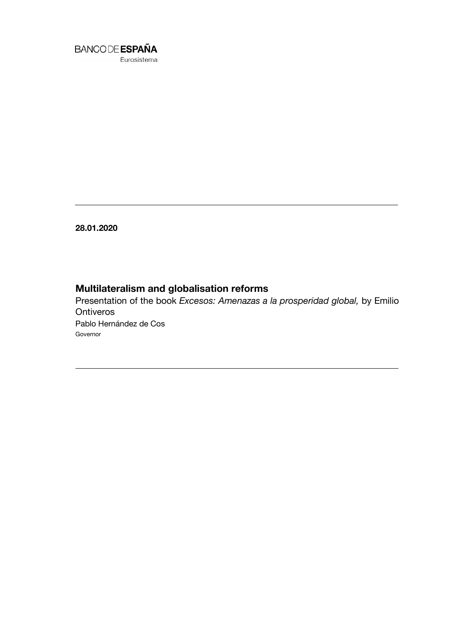

28.01.2020

# Multilateralism and globalisation reforms

Presentation of the book *Excesos: Amenazas a la prosperidad global,* by Emilio **Ontiveros** Pablo Hernández de Cos Governor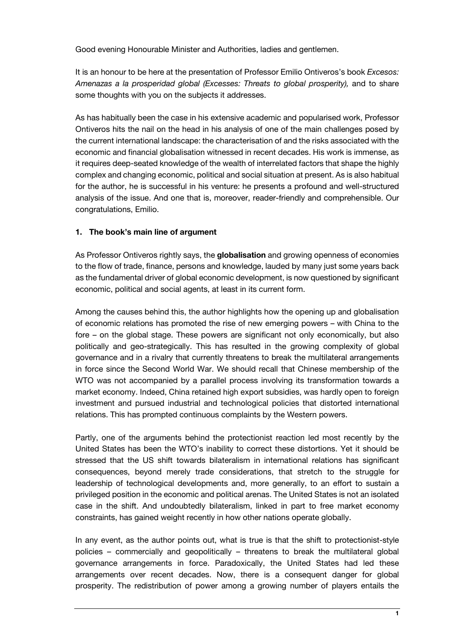Good evening Honourable Minister and Authorities, ladies and gentlemen.

It is an honour to be here at the presentation of Professor Emilio Ontiveros's book *Excesos: Amenazas a la prosperidad global (Excesses: Threats to global prosperity),* and to share some thoughts with you on the subjects it addresses.

As has habitually been the case in his extensive academic and popularised work, Professor Ontiveros hits the nail on the head in his analysis of one of the main challenges posed by the current international landscape: the characterisation of and the risks associated with the economic and financial globalisation witnessed in recent decades. His work is immense, as it requires deep-seated knowledge of the wealth of interrelated factors that shape the highly complex and changing economic, political and social situation at present. As is also habitual for the author, he is successful in his venture: he presents a profound and well-structured analysis of the issue. And one that is, moreover, reader-friendly and comprehensible. Our congratulations, Emilio.

#### 1. The book's main line of argument

As Professor Ontiveros rightly says, the globalisation and growing openness of economies to the flow of trade, finance, persons and knowledge, lauded by many just some years back as the fundamental driver of global economic development, is now questioned by significant economic, political and social agents, at least in its current form.

Among the causes behind this, the author highlights how the opening up and globalisation of economic relations has promoted the rise of new emerging powers – with China to the fore – on the global stage. These powers are significant not only economically, but also politically and geo-strategically. This has resulted in the growing complexity of global governance and in a rivalry that currently threatens to break the multilateral arrangements in force since the Second World War. We should recall that Chinese membership of the WTO was not accompanied by a parallel process involving its transformation towards a market economy. Indeed, China retained high export subsidies, was hardly open to foreign investment and pursued industrial and technological policies that distorted international relations. This has prompted continuous complaints by the Western powers.

Partly, one of the arguments behind the protectionist reaction led most recently by the United States has been the WTO's inability to correct these distortions. Yet it should be stressed that the US shift towards bilateralism in international relations has significant consequences, beyond merely trade considerations, that stretch to the struggle for leadership of technological developments and, more generally, to an effort to sustain a privileged position in the economic and political arenas. The United States is not an isolated case in the shift. And undoubtedly bilateralism, linked in part to free market economy constraints, has gained weight recently in how other nations operate globally.

In any event, as the author points out, what is true is that the shift to protectionist-style policies – commercially and geopolitically – threatens to break the multilateral global governance arrangements in force. Paradoxically, the United States had led these arrangements over recent decades. Now, there is a consequent danger for global prosperity. The redistribution of power among a growing number of players entails the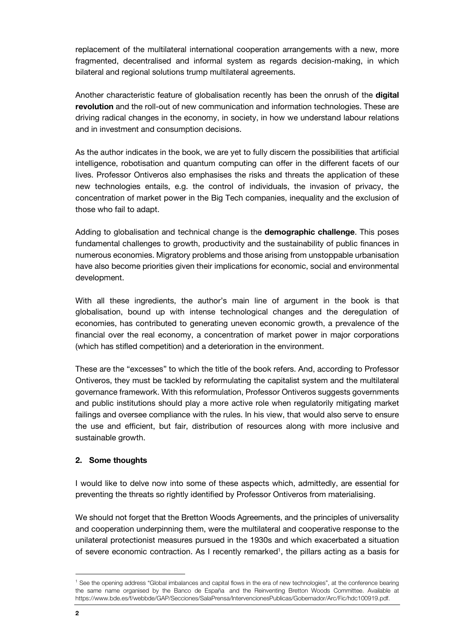replacement of the multilateral international cooperation arrangements with a new, more fragmented, decentralised and informal system as regards decision-making, in which bilateral and regional solutions trump multilateral agreements.

Another characteristic feature of globalisation recently has been the onrush of the **digital** revolution and the roll-out of new communication and information technologies. These are driving radical changes in the economy, in society, in how we understand labour relations and in investment and consumption decisions.

As the author indicates in the book, we are yet to fully discern the possibilities that artificial intelligence, robotisation and quantum computing can offer in the different facets of our lives. Professor Ontiveros also emphasises the risks and threats the application of these new technologies entails, e.g. the control of individuals, the invasion of privacy, the concentration of market power in the Big Tech companies, inequality and the exclusion of those who fail to adapt.

Adding to globalisation and technical change is the **demographic challenge**. This poses fundamental challenges to growth, productivity and the sustainability of public finances in numerous economies. Migratory problems and those arising from unstoppable urbanisation have also become priorities given their implications for economic, social and environmental development.

With all these ingredients, the author's main line of argument in the book is that globalisation, bound up with intense technological changes and the deregulation of economies, has contributed to generating uneven economic growth, a prevalence of the financial over the real economy, a concentration of market power in major corporations (which has stifled competition) and a deterioration in the environment.

These are the "excesses" to which the title of the book refers. And, according to Professor Ontiveros, they must be tackled by reformulating the capitalist system and the multilateral governance framework. With this reformulation, Professor Ontiveros suggests governments and public institutions should play a more active role when regulatorily mitigating market failings and oversee compliance with the rules. In his view, that would also serve to ensure the use and efficient, but fair, distribution of resources along with more inclusive and sustainable growth.

#### 2. Some thoughts

I would like to delve now into some of these aspects which, admittedly, are essential for preventing the threats so rightly identified by Professor Ontiveros from materialising.

We should not forget that the Bretton Woods Agreements, and the principles of universality and cooperation underpinning them, were the multilateral and cooperative response to the unilateral protectionist measures pursued in the 1930s and which exacerbated a situation of severe economic contraction. As I recently remarked<sup>1</sup>, the pillars acting as a basis for

j

<sup>&</sup>lt;sup>1</sup> See the opening address "Global imbalances and capital flows in the era of new technologies", at the conference bearing the same name organised by the Banco de España and the Reinventing Bretton Woods Committee. Available at https://www.bde.es/f/webbde/GAP/Secciones/SalaPrensa/IntervencionesPublicas/Gobernador/Arc/Fic/hdc100919.pdf.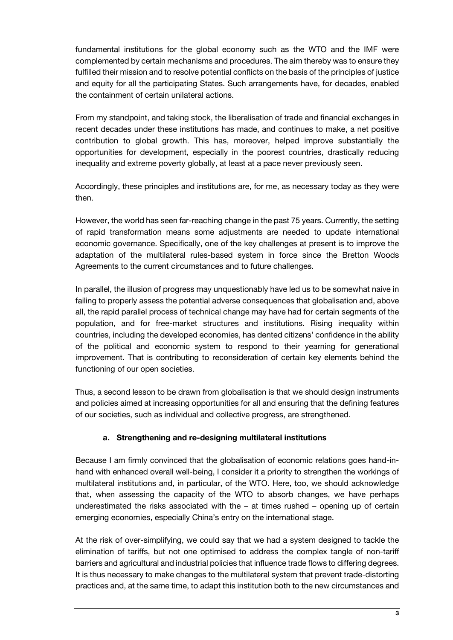fundamental institutions for the global economy such as the WTO and the IMF were complemented by certain mechanisms and procedures. The aim thereby was to ensure they fulfilled their mission and to resolve potential conflicts on the basis of the principles of justice and equity for all the participating States. Such arrangements have, for decades, enabled the containment of certain unilateral actions.

From my standpoint, and taking stock, the liberalisation of trade and financial exchanges in recent decades under these institutions has made, and continues to make, a net positive contribution to global growth. This has, moreover, helped improve substantially the opportunities for development, especially in the poorest countries, drastically reducing inequality and extreme poverty globally, at least at a pace never previously seen.

Accordingly, these principles and institutions are, for me, as necessary today as they were then.

However, the world has seen far-reaching change in the past 75 years. Currently, the setting of rapid transformation means some adjustments are needed to update international economic governance. Specifically, one of the key challenges at present is to improve the adaptation of the multilateral rules-based system in force since the Bretton Woods Agreements to the current circumstances and to future challenges.

In parallel, the illusion of progress may unquestionably have led us to be somewhat naive in failing to properly assess the potential adverse consequences that globalisation and, above all, the rapid parallel process of technical change may have had for certain segments of the population, and for free-market structures and institutions. Rising inequality within countries, including the developed economies, has dented citizens' confidence in the ability of the political and economic system to respond to their yearning for generational improvement. That is contributing to reconsideration of certain key elements behind the functioning of our open societies.

Thus, a second lesson to be drawn from globalisation is that we should design instruments and policies aimed at increasing opportunities for all and ensuring that the defining features of our societies, such as individual and collective progress, are strengthened.

### a. Strengthening and re-designing multilateral institutions

Because I am firmly convinced that the globalisation of economic relations goes hand-inhand with enhanced overall well-being, I consider it a priority to strengthen the workings of multilateral institutions and, in particular, of the WTO. Here, too, we should acknowledge that, when assessing the capacity of the WTO to absorb changes, we have perhaps underestimated the risks associated with the  $-$  at times rushed  $-$  opening up of certain emerging economies, especially China's entry on the international stage.

At the risk of over-simplifying, we could say that we had a system designed to tackle the elimination of tariffs, but not one optimised to address the complex tangle of non-tariff barriers and agricultural and industrial policies that influence trade flows to differing degrees. It is thus necessary to make changes to the multilateral system that prevent trade-distorting practices and, at the same time, to adapt this institution both to the new circumstances and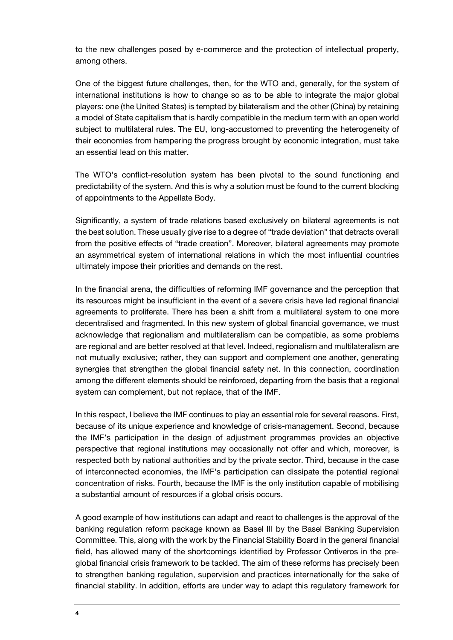to the new challenges posed by e-commerce and the protection of intellectual property, among others.

One of the biggest future challenges, then, for the WTO and, generally, for the system of international institutions is how to change so as to be able to integrate the major global players: one (the United States) is tempted by bilateralism and the other (China) by retaining a model of State capitalism that is hardly compatible in the medium term with an open world subject to multilateral rules. The EU, long-accustomed to preventing the heterogeneity of their economies from hampering the progress brought by economic integration, must take an essential lead on this matter.

The WTO's conflict-resolution system has been pivotal to the sound functioning and predictability of the system. And this is why a solution must be found to the current blocking of appointments to the Appellate Body.

Significantly, a system of trade relations based exclusively on bilateral agreements is not the best solution. These usually give rise to a degree of "trade deviation" that detracts overall from the positive effects of "trade creation". Moreover, bilateral agreements may promote an asymmetrical system of international relations in which the most influential countries ultimately impose their priorities and demands on the rest.

In the financial arena, the difficulties of reforming IMF governance and the perception that its resources might be insufficient in the event of a severe crisis have led regional financial agreements to proliferate. There has been a shift from a multilateral system to one more decentralised and fragmented. In this new system of global financial governance, we must acknowledge that regionalism and multilateralism can be compatible, as some problems are regional and are better resolved at that level. Indeed, regionalism and multilateralism are not mutually exclusive; rather, they can support and complement one another, generating synergies that strengthen the global financial safety net. In this connection, coordination among the different elements should be reinforced, departing from the basis that a regional system can complement, but not replace, that of the IMF.

In this respect, I believe the IMF continues to play an essential role for several reasons. First, because of its unique experience and knowledge of crisis-management. Second, because the IMF's participation in the design of adjustment programmes provides an objective perspective that regional institutions may occasionally not offer and which, moreover, is respected both by national authorities and by the private sector. Third, because in the case of interconnected economies, the IMF's participation can dissipate the potential regional concentration of risks. Fourth, because the IMF is the only institution capable of mobilising a substantial amount of resources if a global crisis occurs.

A good example of how institutions can adapt and react to challenges is the approval of the banking regulation reform package known as Basel III by the Basel Banking Supervision Committee. This, along with the work by the Financial Stability Board in the general financial field, has allowed many of the shortcomings identified by Professor Ontiveros in the preglobal financial crisis framework to be tackled. The aim of these reforms has precisely been to strengthen banking regulation, supervision and practices internationally for the sake of financial stability. In addition, efforts are under way to adapt this regulatory framework for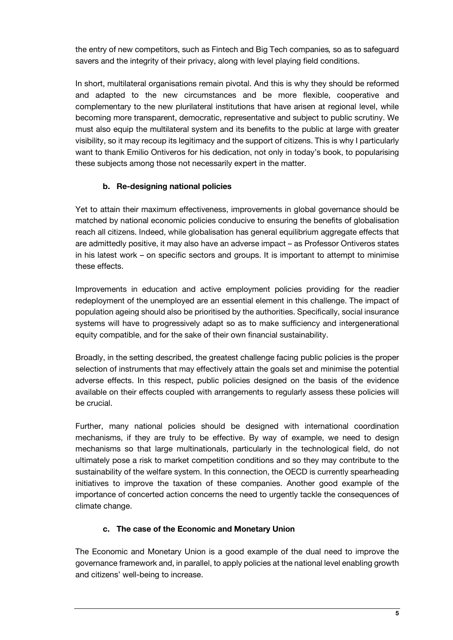the entry of new competitors, such as Fintech and Big Tech companies*,* so as to safeguard savers and the integrity of their privacy, along with level playing field conditions.

In short, multilateral organisations remain pivotal. And this is why they should be reformed and adapted to the new circumstances and be more flexible, cooperative and complementary to the new plurilateral institutions that have arisen at regional level, while becoming more transparent, democratic, representative and subject to public scrutiny. We must also equip the multilateral system and its benefits to the public at large with greater visibility, so it may recoup its legitimacy and the support of citizens. This is why I particularly want to thank Emilio Ontiveros for his dedication, not only in today's book, to popularising these subjects among those not necessarily expert in the matter.

## b. Re-designing national policies

Yet to attain their maximum effectiveness, improvements in global governance should be matched by national economic policies conducive to ensuring the benefits of globalisation reach all citizens. Indeed, while globalisation has general equilibrium aggregate effects that are admittedly positive, it may also have an adverse impact – as Professor Ontiveros states in his latest work – on specific sectors and groups. It is important to attempt to minimise these effects.

Improvements in education and active employment policies providing for the readier redeployment of the unemployed are an essential element in this challenge. The impact of population ageing should also be prioritised by the authorities. Specifically, social insurance systems will have to progressively adapt so as to make sufficiency and intergenerational equity compatible, and for the sake of their own financial sustainability.

Broadly, in the setting described, the greatest challenge facing public policies is the proper selection of instruments that may effectively attain the goals set and minimise the potential adverse effects. In this respect, public policies designed on the basis of the evidence available on their effects coupled with arrangements to regularly assess these policies will be crucial.

Further, many national policies should be designed with international coordination mechanisms, if they are truly to be effective. By way of example, we need to design mechanisms so that large multinationals, particularly in the technological field, do not ultimately pose a risk to market competition conditions and so they may contribute to the sustainability of the welfare system. In this connection, the OECD is currently spearheading initiatives to improve the taxation of these companies. Another good example of the importance of concerted action concerns the need to urgently tackle the consequences of climate change.

### c. The case of the Economic and Monetary Union

The Economic and Monetary Union is a good example of the dual need to improve the governance framework and, in parallel, to apply policies at the national level enabling growth and citizens' well-being to increase.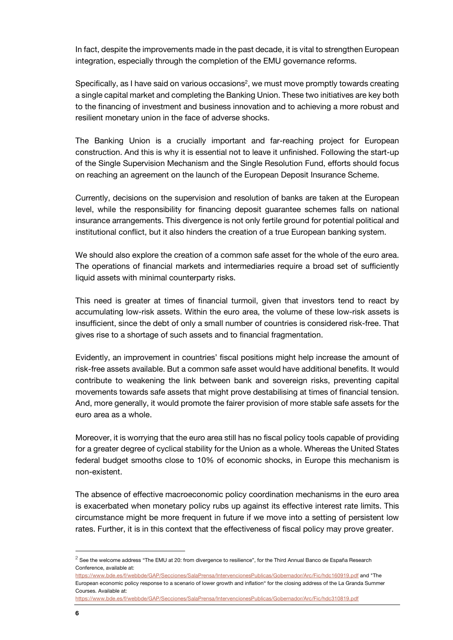In fact, despite the improvements made in the past decade, it is vital to strengthen European integration, especially through the completion of the EMU governance reforms.

Specifically, as I have said on various occasions<sup>2</sup>, we must move promptly towards creating a single capital market and completing the Banking Union. These two initiatives are key both to the financing of investment and business innovation and to achieving a more robust and resilient monetary union in the face of adverse shocks.

The Banking Union is a crucially important and far-reaching project for European construction. And this is why it is essential not to leave it unfinished. Following the start-up of the Single Supervision Mechanism and the Single Resolution Fund, efforts should focus on reaching an agreement on the launch of the European Deposit Insurance Scheme.

Currently, decisions on the supervision and resolution of banks are taken at the European level, while the responsibility for financing deposit guarantee schemes falls on national insurance arrangements. This divergence is not only fertile ground for potential political and institutional conflict, but it also hinders the creation of a true European banking system.

We should also explore the creation of a common safe asset for the whole of the euro area. The operations of financial markets and intermediaries require a broad set of sufficiently liquid assets with minimal counterparty risks.

This need is greater at times of financial turmoil, given that investors tend to react by accumulating low-risk assets. Within the euro area, the volume of these low-risk assets is insufficient, since the debt of only a small number of countries is considered risk-free. That gives rise to a shortage of such assets and to financial fragmentation.

Evidently, an improvement in countries' fiscal positions might help increase the amount of risk-free assets available. But a common safe asset would have additional benefits. It would contribute to weakening the link between bank and sovereign risks, preventing capital movements towards safe assets that might prove destabilising at times of financial tension. And, more generally, it would promote the fairer provision of more stable safe assets for the euro area as a whole.

Moreover, it is worrying that the euro area still has no fiscal policy tools capable of providing for a greater degree of cyclical stability for the Union as a whole. Whereas the United States federal budget smooths close to 10% of economic shocks, in Europe this mechanism is non-existent.

The absence of effective macroeconomic policy coordination mechanisms in the euro area is exacerbated when monetary policy rubs up against its effective interest rate limits. This circumstance might be more frequent in future if we move into a setting of persistent low rates. Further, it is in this context that the effectiveness of fiscal policy may prove greater.

j

 $^2$  See the welcome address "The EMU at 20: from divergence to resilience", for the Third Annual Banco de España Research Conference, available at:

[https://www.bde.es/f/webbde/GAP/Secciones/SalaPrensa/IntervencionesPublicas/Gobernador/Arc/Fic/hdc160919.pdf a](https://www.bde.es/f/webbde/GAP/Secciones/SalaPrensa/IntervencionesPublicas/Gobernador/Arc/Fic/hdc160919.pdf)nd "The European economic policy response to a scenario of lower growth and inflation" for the closing address of the La Granda Summer Courses. Available at:

<https://www.bde.es/f/webbde/GAP/Secciones/SalaPrensa/IntervencionesPublicas/Gobernador/Arc/Fic/hdc310819.pdf>